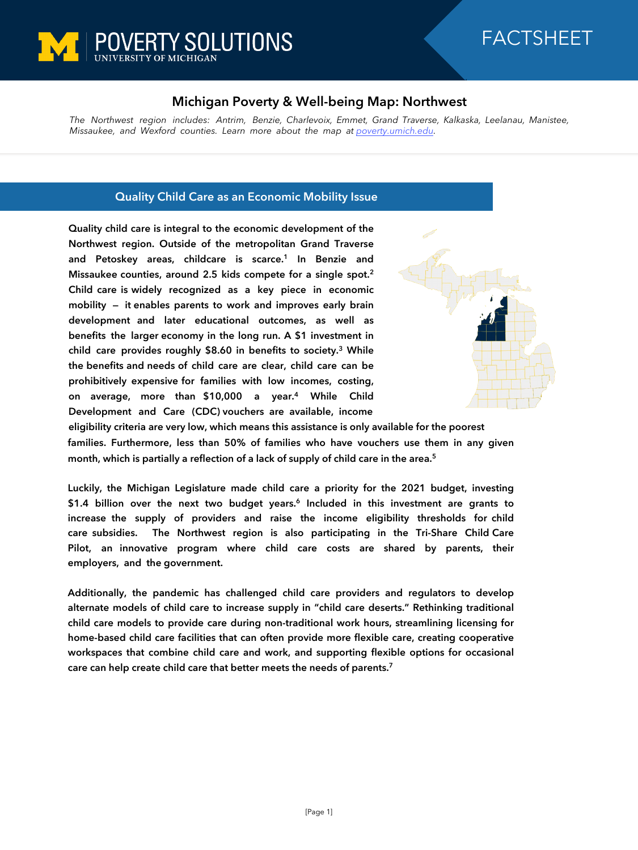

# FACTSHEET

## **Michigan Poverty & Well-being Map: Northwest**

*The Northwest region includes: Antrim, Benzie, Charlevoix, Emmet, Grand Traverse, Kalkaska, Leelanau, Manistee, Missaukee, and Wexford counties. Learn more about the map at [poverty.umich.edu.](https://poverty.umich.edu/research-funding-opportunities/data-tools/michigan-poverty-well-being-map/)*

## **Quality Child Care as an Economic Mobility Issue**

**Quality child care is integral to the economic development of the Northwest region. Outside of the metropolitan Grand Traverse and Petoskey areas, childcare is scarce.<sup>1</sup> In Benzie and Missaukee counties, around 2.5 kids compete for a single spot.<sup>2</sup> Child care is widely recognized as a key piece in economic mobility — it enables parents to work and improves early brain development and later educational outcomes, as well as benefits the larger economy in the long run. A \$1 investment in child care provides roughly \$8.60 in benefits to society.<sup>3</sup> While the benefits and needs of child care are clear, child care can be prohibitively expensive for families with low incomes, costing, on average, more than \$10,000 a year.<sup>4</sup> While Child Development and Care (CDC) vouchers are available, income** 



**eligibility criteria are very low, which means this assistance is only available for the poorest families. Furthermore, less than 50% of families who have vouchers use them in any given month, which is partially a reflection of a lack of supply of child care in the area.<sup>5</sup>** 

**Luckily, the Michigan Legislature made child care a priority for the 2021 budget, investing \$1.4 billion over the next two budget years.<sup>6</sup> Included in this investment are grants to increase the supply of providers and raise the income eligibility thresholds for child care subsidies. The Northwest region is also participating in the Tri-Share Child Care Pilot, an innovative program where child care costs are shared by parents, their employers, and the government.**

**Additionally, the pandemic has challenged child care providers and regulators to develop alternate models of child care to increase supply in "child care deserts." Rethinking traditional child care models to provide care during non-traditional work hours, streamlining licensing for home-based child care facilities that can often provide more flexible care, creating cooperative workspaces that combine child care and work, and supporting flexible options for occasional care can help create child care that better meets the needs of parents.<sup>7</sup>**